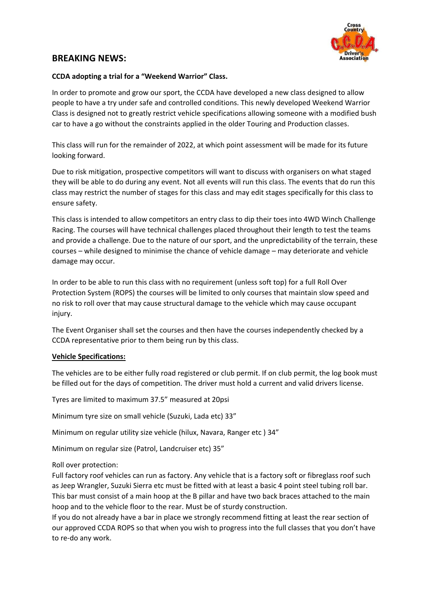

## **BREAKING NEWS:**

## **CCDA adopting a trial for a "Weekend Warrior" Class.**

In order to promote and grow our sport, the CCDA have developed a new class designed to allow people to have a try under safe and controlled conditions. This newly developed Weekend Warrior Class is designed not to greatly restrict vehicle specifications allowing someone with a modified bush car to have a go without the constraints applied in the older Touring and Production classes.

This class will run for the remainder of 2022, at which point assessment will be made for its future looking forward.

Due to risk mitigation, prospective competitors will want to discuss with organisers on what staged they will be able to do during any event. Not all events will run this class. The events that do run this class may restrict the number of stages for this class and may edit stages specifically for this class to ensure safety.

This class is intended to allow competitors an entry class to dip their toes into 4WD Winch Challenge Racing. The courses will have technical challenges placed throughout their length to test the teams and provide a challenge. Due to the nature of our sport, and the unpredictability of the terrain, these courses – while designed to minimise the chance of vehicle damage – may deteriorate and vehicle damage may occur.

In order to be able to run this class with no requirement (unless soft top) for a full Roll Over Protection System (ROPS) the courses will be limited to only courses that maintain slow speed and no risk to roll over that may cause structural damage to the vehicle which may cause occupant injury.

The Event Organiser shall set the courses and then have the courses independently checked by a CCDA representative prior to them being run by this class.

## **Vehicle Specifications:**

The vehicles are to be either fully road registered or club permit. If on club permit, the log book must be filled out for the days of competition. The driver must hold a current and valid drivers license.

Tyres are limited to maximum 37.5" measured at 20psi

Minimum tyre size on small vehicle (Suzuki, Lada etc) 33"

Minimum on regular utility size vehicle (hilux, Navara, Ranger etc ) 34"

Minimum on regular size (Patrol, Landcruiser etc) 35"

Roll over protection:

Full factory roof vehicles can run as factory. Any vehicle that is a factory soft or fibreglass roof such as Jeep Wrangler, Suzuki Sierra etc must be fitted with at least a basic 4 point steel tubing roll bar. This bar must consist of a main hoop at the B pillar and have two back braces attached to the main hoop and to the vehicle floor to the rear. Must be of sturdy construction.

If you do not already have a bar in place we strongly recommend fitting at least the rear section of our approved CCDA ROPS so that when you wish to progress into the full classes that you don't have to re-do any work.